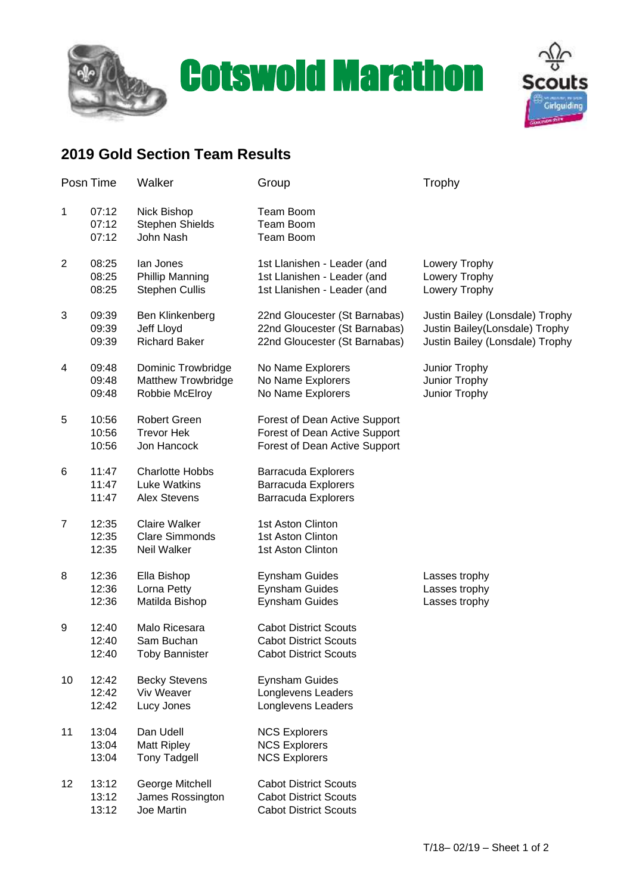





## **2019 Gold Section Team Results**

| Posn Time      |                         | Walker                                                                   | Group                                                                                           | Trophy                                                                                                |
|----------------|-------------------------|--------------------------------------------------------------------------|-------------------------------------------------------------------------------------------------|-------------------------------------------------------------------------------------------------------|
| $\mathbf{1}$   | 07:12<br>07:12<br>07:12 | Nick Bishop<br><b>Stephen Shields</b><br>John Nash                       | Team Boom<br>Team Boom<br>Team Boom                                                             |                                                                                                       |
| 2              | 08:25<br>08:25<br>08:25 | lan Jones<br><b>Phillip Manning</b><br><b>Stephen Cullis</b>             | 1st Llanishen - Leader (and<br>1st Llanishen - Leader (and<br>1st Llanishen - Leader (and       | Lowery Trophy<br>Lowery Trophy<br>Lowery Trophy                                                       |
| 3              | 09:39<br>09:39<br>09:39 | Ben Klinkenberg<br>Jeff Lloyd<br><b>Richard Baker</b>                    | 22nd Gloucester (St Barnabas)<br>22nd Gloucester (St Barnabas)<br>22nd Gloucester (St Barnabas) | Justin Bailey (Lonsdale) Trophy<br>Justin Bailey (Lonsdale) Trophy<br>Justin Bailey (Lonsdale) Trophy |
| 4              | 09:48<br>09:48<br>09:48 | <b>Dominic Trowbridge</b><br><b>Matthew Trowbridge</b><br>Robbie McElroy | No Name Explorers<br>No Name Explorers<br>No Name Explorers                                     | Junior Trophy<br>Junior Trophy<br>Junior Trophy                                                       |
| 5              | 10:56<br>10:56<br>10:56 | <b>Robert Green</b><br><b>Trevor Hek</b><br>Jon Hancock                  | Forest of Dean Active Support<br>Forest of Dean Active Support<br>Forest of Dean Active Support |                                                                                                       |
| 6              | 11:47<br>11:47<br>11:47 | <b>Charlotte Hobbs</b><br><b>Luke Watkins</b><br><b>Alex Stevens</b>     | <b>Barracuda Explorers</b><br><b>Barracuda Explorers</b><br><b>Barracuda Explorers</b>          |                                                                                                       |
| $\overline{7}$ | 12:35<br>12:35<br>12:35 | <b>Claire Walker</b><br><b>Clare Simmonds</b><br>Neil Walker             | 1st Aston Clinton<br>1st Aston Clinton<br>1st Aston Clinton                                     |                                                                                                       |
| 8              | 12:36<br>12:36<br>12:36 | Ella Bishop<br>Lorna Petty<br>Matilda Bishop                             | <b>Eynsham Guides</b><br>Eynsham Guides<br><b>Eynsham Guides</b>                                | Lasses trophy<br>Lasses trophy<br>Lasses trophy                                                       |
| 9              | 12:40<br>12:40<br>12:40 | Malo Ricesara<br>Sam Buchan<br><b>Toby Bannister</b>                     | <b>Cabot District Scouts</b><br><b>Cabot District Scouts</b><br><b>Cabot District Scouts</b>    |                                                                                                       |
| 10             | 12:42<br>12:42<br>12:42 | <b>Becky Stevens</b><br>Viv Weaver<br>Lucy Jones                         | <b>Eynsham Guides</b><br>Longlevens Leaders<br>Longlevens Leaders                               |                                                                                                       |
| 11             | 13:04<br>13:04<br>13:04 | Dan Udell<br><b>Matt Ripley</b><br><b>Tony Tadgell</b>                   | <b>NCS Explorers</b><br><b>NCS Explorers</b><br><b>NCS Explorers</b>                            |                                                                                                       |
| 12             | 13:12<br>13:12<br>13:12 | George Mitchell<br>James Rossington<br>Joe Martin                        | <b>Cabot District Scouts</b><br><b>Cabot District Scouts</b><br><b>Cabot District Scouts</b>    |                                                                                                       |